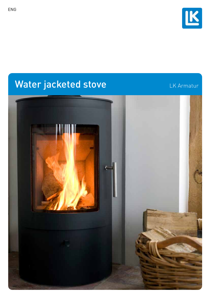

## Water jacketed stove

LK Armatur

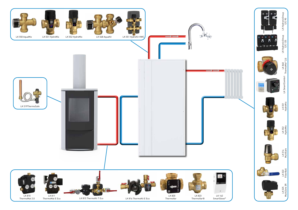